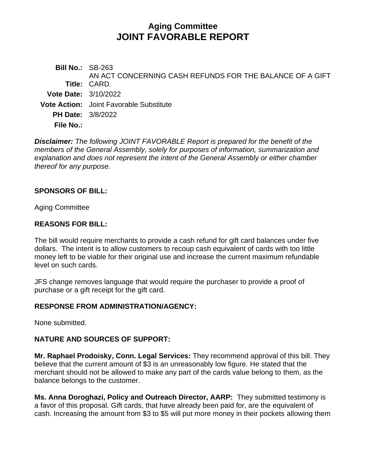# **Aging Committee JOINT FAVORABLE REPORT**

**Bill No.:** SB-263 **Title:** CARD. AN ACT CONCERNING CASH REFUNDS FOR THE BALANCE OF A GIFT **Vote Date:** 3/10/2022 **Vote Action:** Joint Favorable Substitute **PH Date:** 3/8/2022 **File No.:**

*Disclaimer: The following JOINT FAVORABLE Report is prepared for the benefit of the members of the General Assembly, solely for purposes of information, summarization and explanation and does not represent the intent of the General Assembly or either chamber thereof for any purpose.*

#### **SPONSORS OF BILL:**

Aging Committee

#### **REASONS FOR BILL:**

The bill would require merchants to provide a cash refund for gift card balances under five dollars. The intent is to allow customers to recoup cash equivalent of cards with too little money left to be viable for their original use and increase the current maximum refundable level on such cards.

JFS change removes language that would require the purchaser to provide a proof of purchase or a gift receipt for the gift card.

#### **RESPONSE FROM ADMINISTRATION/AGENCY:**

None submitted.

### **NATURE AND SOURCES OF SUPPORT:**

**Mr. Raphael Prodoisky, Conn. Legal Services:** They recommend approval of this bill. They believe that the current amount of \$3 is an unreasonably low figure. He stated that the merchant should not be allowed to make any part of the cards value belong to them, as the balance belongs to the customer.

**Ms. Anna Doroghazi, Policy and Outreach Director, AARP:** They submitted testimony is a favor of this proposal. Gift cards, that have already been paid for, are the equivalent of cash. Increasing the amount from \$3 to \$5 will put more money in their pockets allowing them